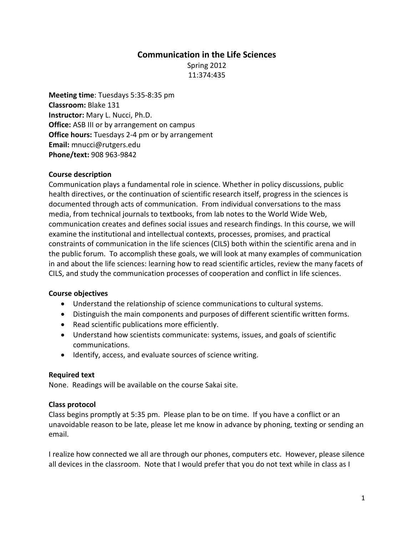# **Communication in the Life Sciences**

Spring 2012 11:374:435

**Meeting time**: Tuesdays 5:35-8:35 pm **Classroom:** Blake 131 **Instructor:** Mary L. Nucci, Ph.D. **Office:** ASB III or by arrangement on campus **Office hours:** Tuesdays 2-4 pm or by arrangement **Email:** mnucci@rutgers.edu **Phone/text:** 908 963-9842

### **Course description**

Communication plays a fundamental role in science. Whether in policy discussions, public health directives, or the continuation of scientific research itself, progress in the sciences is documented through acts of communication. From individual conversations to the mass media, from technical journals to textbooks, from lab notes to the World Wide Web, communication creates and defines social issues and research findings. In this course, we will examine the institutional and intellectual contexts, processes, promises, and practical constraints of communication in the life sciences (CILS) both within the scientific arena and in the public forum. To accomplish these goals, we will look at many examples of communication in and about the life sciences: learning how to read scientific articles, review the many facets of CILS, and study the communication processes of cooperation and conflict in life sciences.

### **Course objectives**

- Understand the relationship of science communications to cultural systems.
- Distinguish the main components and purposes of different scientific written forms.
- Read scientific publications more efficiently.
- Understand how scientists communicate: systems, issues, and goals of scientific communications.
- Identify, access, and evaluate sources of science writing.

### **Required text**

None. Readings will be available on the course Sakai site.

### **Class protocol**

Class begins promptly at 5:35 pm. Please plan to be on time. If you have a conflict or an unavoidable reason to be late, please let me know in advance by phoning, texting or sending an email.

I realize how connected we all are through our phones, computers etc. However, please silence all devices in the classroom. Note that I would prefer that you do not text while in class as I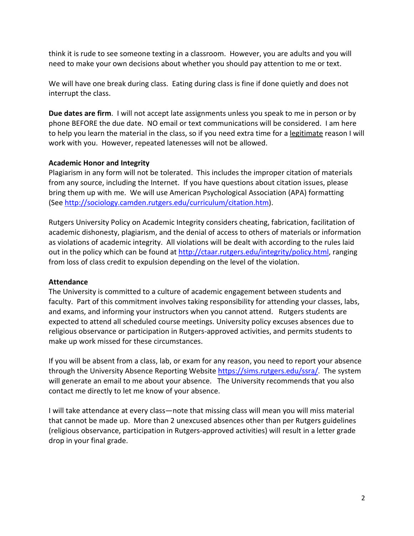think it is rude to see someone texting in a classroom. However, you are adults and you will need to make your own decisions about whether you should pay attention to me or text.

We will have one break during class. Eating during class is fine if done quietly and does not interrupt the class.

**Due dates are firm**. I will not accept late assignments unless you speak to me in person or by phone BEFORE the due date. NO email or text communications will be considered. I am here to help you learn the material in the class, so if you need extra time for a legitimate reason I will work with you. However, repeated latenesses will not be allowed.

### **Academic Honor and Integrity**

Plagiarism in any form will not be tolerated. This includes the improper citation of materials from any source, including the Internet. If you have questions about citation issues, please bring them up with me. We will use American Psychological Association (APA) formatting (See [http://sociology.camden.rutgers.edu/curriculum/citation.htm\)](http://sociology.camden.rutgers.edu/curriculum/citation.htm).

Rutgers University Policy on Academic Integrity considers cheating, fabrication, facilitation of academic dishonesty, plagiarism, and the denial of access to others of materials or information as violations of academic integrity. All violations will be dealt with according to the rules laid out in the policy which can be found at [http://ctaar.rutgers.edu/integrity/policy.html,](http://ctaar.rutgers.edu/integrity/policy.html) ranging from loss of class credit to expulsion depending on the level of the violation.

### **Attendance**

The University is committed to a culture of academic engagement between students and faculty. Part of this commitment involves taking responsibility for attending your classes, labs, and exams, and informing your instructors when you cannot attend. Rutgers students are expected to attend all scheduled course meetings. University policy excuses absences due to religious observance or participation in Rutgers-approved activities, and permits students to make up work missed for these circumstances.

If you will be absent from a class, lab, or exam for any reason, you need to report your absence through the University Absence Reporting Website [https://sims.rutgers.edu/ssra/.](https://sims.rutgers.edu/ssra/) The system will generate an email to me about your absence. The University recommends that you also contact me directly to let me know of your absence.

I will take attendance at every class—note that missing class will mean you will miss material that cannot be made up. More than 2 unexcused absences other than per Rutgers guidelines (religious observance, participation in Rutgers-approved activities) will result in a letter grade drop in your final grade.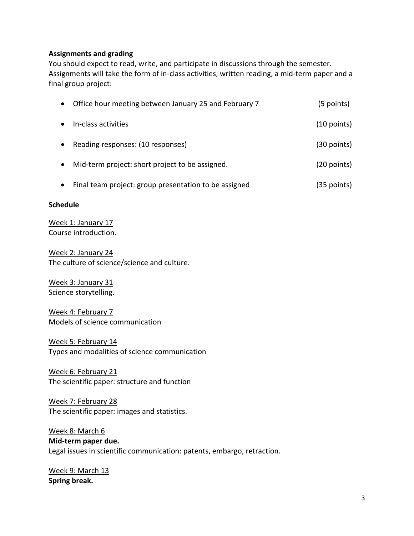## **Assignments and grading**

You should expect to read, write, and participate in discussions through the semester. Assignments will take the form of in-class activities, written reading, a mid-term paper and a final group project:

| $\bullet$ | Office hour meeting between January 25 and February 7 | (5 points)    |
|-----------|-------------------------------------------------------|---------------|
|           | In-class activities                                   | $(10$ points) |
| $\bullet$ | Reading responses: (10 responses)                     | $(30$ points) |
| $\bullet$ | Mid-term project: short project to be assigned.       | $(20$ points) |
|           | Final team project: group presentation to be assigned | (35 points)   |

### **Schedule**

Week 1: January 17 Course introduction.

Week 2: January 24 The culture of science/science and culture.

Week 3: January 31 Science storytelling.

Week 4: February 7 Models of science communication

Week 5: February 14 Types and modalities of science communication

Week 6: February 21 The scientific paper: structure and function

## Week 7: February 28 The scientific paper: images and statistics.

Week 8: March 6 **Mid-term paper due.** Legal issues in scientific communication: patents, embargo, retraction.

Week 9: March 13 **Spring break.**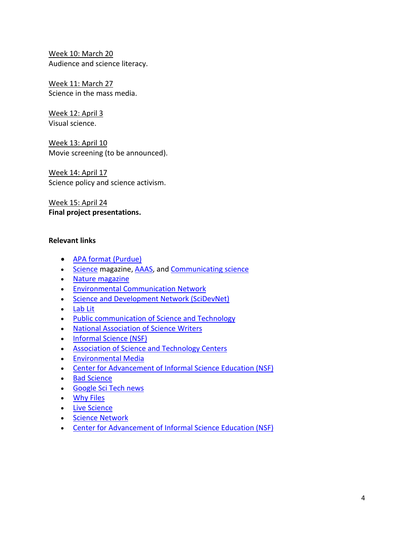Week 10: March 20 Audience and science literacy.

Week 11: March 27 Science in the mass media.

Week 12: April 3 Visual science.

Week 13: April 10 Movie screening (to be announced).

Week 14: April 17 Science policy and science activism.

Week 15: April 24 **Final project presentations.**

# **Relevant links**

- [APA format \(Purdue\)](http://owl.english.purdue.edu/owl/resource/560/01/)
- [Science](http://www.sciencemag.org/) magazine[, AAAS,](http://www.aaas.org/) an[d Communicating science](http://communicatingscience.aaas.org/Pages/newmain.aspx)
- [Nature magazine](http://www.nature.com/index.html)
- [Environmental Communication Network](http://www.esf.edu/ecn/)
- [Science and Development Network \(SciDevNet\)](http://www.scidev.net/)
- [Lab Lit](http://www.lablit.com/)
- [Public communication of Science and Technology](http://www.upf.edu/pcstacademy/Incoming_events/)
- [National Association of Science Writers](http://www.nasw.org/)
- [Informal Science \(NSF\)](http://informalscience.org/)
- [Association of Science and Technology Centers](http://astc.org/)
- [Environmental Media](http://www.bren.ucsb.edu/academics/environmental_media.htm)
- [Center for Advancement of Informal Science Education \(NSF\)](http://caise.insci.org/)
- [Bad Science](http://www.badscience.net/)
- [Google Sci Tech news](http://news.google.com/nwshp?tab=wn&topic=t)
- [Why Files](http://whyfiles.org/)
- [Live Science](http://www.livescience.com/)
- [Science Network](http://thesciencenetwork.org/)
- [Center for Advancement of Informal Science Education \(NSF\)](http://caise.insci.org/)